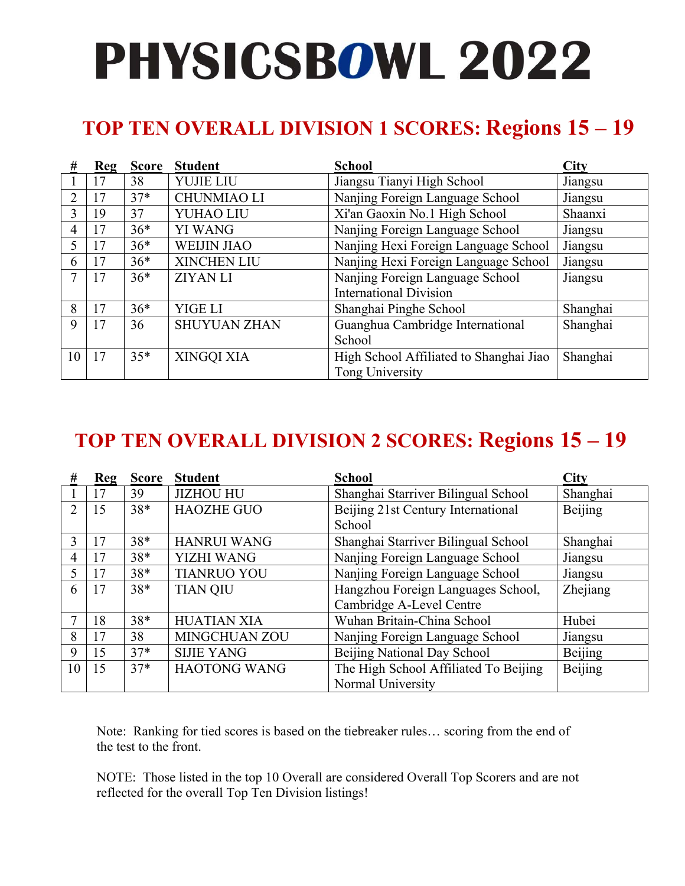## **TOP TEN OVERALL DIVISION 1 SCORES: Regions 15 – 19**

| #             | Reg | <b>Score</b> | <b>Student</b>      | <b>School</b>                           | <b>City</b> |
|---------------|-----|--------------|---------------------|-----------------------------------------|-------------|
|               | 17  | 38           | <b>YUJIE LIU</b>    | Jiangsu Tianyi High School              | Jiangsu     |
| $\mathcal{L}$ | 17  | $37*$        | <b>CHUNMIAO LI</b>  | Nanjing Foreign Language School         | Jiangsu     |
| 3             | 19  | 37           | YUHAO LIU           | Xi'an Gaoxin No.1 High School           | Shaanxi     |
| 4             | 17  | $36*$        | <b>YI WANG</b>      | Nanjing Foreign Language School         | Jiangsu     |
| 5             | 17  | $36*$        | <b>WEIJIN JIAO</b>  | Nanjing Hexi Foreign Language School    | Jiangsu     |
| 6             | 17  | $36*$        | <b>XINCHEN LIU</b>  | Nanjing Hexi Foreign Language School    | Jiangsu     |
| 7             | 17  | $36*$        | <b>ZIYAN LI</b>     | Nanjing Foreign Language School         | Jiangsu     |
|               |     |              |                     | <b>International Division</b>           |             |
| 8             | 17  | $36*$        | YIGE LI             | Shanghai Pinghe School                  | Shanghai    |
| 9             | 17  | 36           | <b>SHUYUAN ZHAN</b> | Guanghua Cambridge International        | Shanghai    |
|               |     |              |                     | School                                  |             |
| 10            | 17  | $35*$        | XINGQI XIA          | High School Affiliated to Shanghai Jiao | Shanghai    |
|               |     |              |                     | Tong University                         |             |

## **TOP TEN OVERALL DIVISION 2 SCORES: Regions 15 – 19**

| #              | Reg | <b>Score</b> | <b>Student</b>      | <b>School</b>                         | <b>City</b> |
|----------------|-----|--------------|---------------------|---------------------------------------|-------------|
|                | 17  | 39           | <b>JIZHOU HU</b>    | Shanghai Starriver Bilingual School   | Shanghai    |
| $\mathfrak{D}$ | 15  | $38*$        | <b>HAOZHE GUO</b>   | Beijing 21st Century International    | Beijing     |
|                |     |              |                     | School                                |             |
| 3              | 17  | $38*$        | <b>HANRUI WANG</b>  | Shanghai Starriver Bilingual School   | Shanghai    |
| 4              | 17  | $38*$        | <b>YIZHI WANG</b>   | Nanjing Foreign Language School       | Jiangsu     |
| 5              | 17  | $38*$        | <b>TIANRUO YOU</b>  | Nanjing Foreign Language School       | Jiangsu     |
| 6              | 17  | $38*$        | <b>TIAN QIU</b>     | Hangzhou Foreign Languages School,    | Zhejiang    |
|                |     |              |                     | Cambridge A-Level Centre              |             |
|                | 18  | $38*$        | <b>HUATIAN XIA</b>  | Wuhan Britain-China School            | Hubei       |
| 8              | 17  | 38           | MINGCHUAN ZOU       | Nanjing Foreign Language School       | Jiangsu     |
| 9              | 15  | $37*$        | <b>SIJIE YANG</b>   | Beijing National Day School           | Beijing     |
| 10             | 15  | $37*$        | <b>HAOTONG WANG</b> | The High School Affiliated To Beijing | Beijing     |
|                |     |              |                     | Normal University                     |             |

Note: Ranking for tied scores is based on the tiebreaker rules… scoring from the end of the test to the front.

NOTE: Those listed in the top 10 Overall are considered Overall Top Scorers and are not reflected for the overall Top Ten Division listings!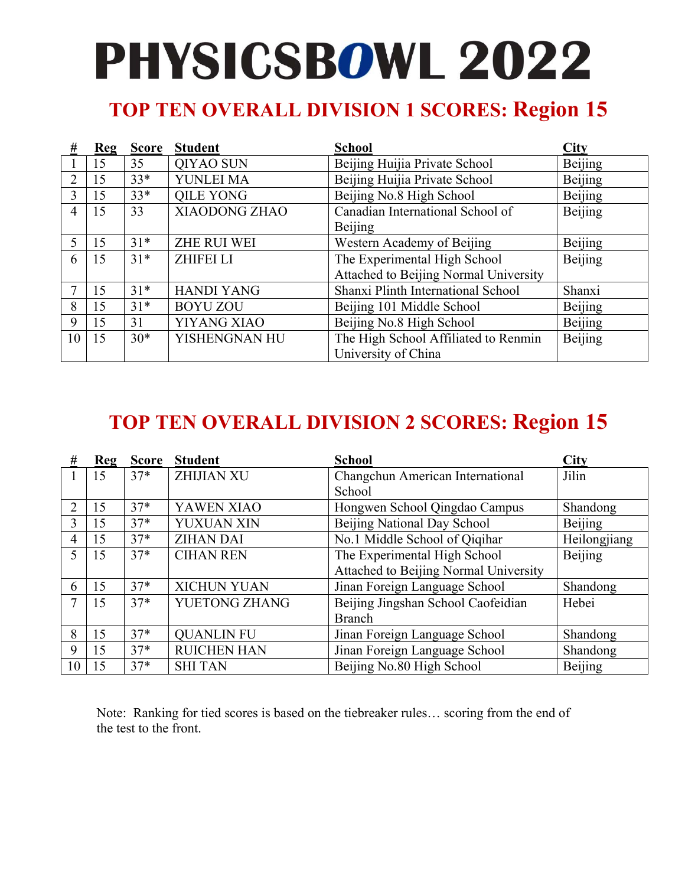## **TOP TEN OVERALL DIVISION 1 SCORES: Region 15**

| #              | Reg | <b>Score</b> | <b>Student</b>     | <b>School</b>                         | City    |
|----------------|-----|--------------|--------------------|---------------------------------------|---------|
|                | 15  | 35           | QIYAO SUN          | Beijing Huijia Private School         | Beijing |
| 2              | 15  | $33*$        | YUNLEI MA          | Beijing Huijia Private School         | Beijing |
| 3              | 15  | $33*$        | <b>QILE YONG</b>   | Beijing No.8 High School              | Beijing |
| $\overline{4}$ | 15  | 33           | XIAODONG ZHAO      | Canadian International School of      | Beijing |
|                |     |              |                    | Beijing                               |         |
|                | 15  | $31*$        | <b>ZHE RUI WEI</b> | Western Academy of Beijing            | Beijing |
| 6              | 15  | $31*$        | <b>ZHIFEI LI</b>   | The Experimental High School          | Beijing |
|                |     |              |                    | Attached to Beijing Normal University |         |
|                | 15  | $31*$        | <b>HANDI YANG</b>  | Shanxi Plinth International School    | Shanxi  |
| 8              | 15  | $31*$        | <b>BOYU ZOU</b>    | Beijing 101 Middle School             | Beijing |
| 9              | 15  | 31           | YIYANG XIAO        | Beijing No.8 High School              | Beijing |
| 10             | 15  | $30*$        | YISHENGNAN HU      | The High School Affiliated to Renmin  | Beijing |
|                |     |              |                    | University of China                   |         |

## **TOP TEN OVERALL DIVISION 2 SCORES: Region 15**

| #  | Reg | <b>Score</b> | <b>Student</b>     | <b>School</b>                         | <b>City</b>  |
|----|-----|--------------|--------------------|---------------------------------------|--------------|
|    | 15  | $37*$        | <b>ZHIJIAN XU</b>  | Changchun American International      | Jilin        |
|    |     |              |                    | School                                |              |
| 2  | 15  | $37*$        | YAWEN XIAO         | Hongwen School Qingdao Campus         | Shandong     |
| 3  | 15  | $37*$        | YUXUAN XIN         | Beijing National Day School           | Beijing      |
| 4  | 15  | $37*$        | <b>ZIHAN DAI</b>   | No.1 Middle School of Qiqihar         | Heilongjiang |
| 5  | 15  | $37*$        | <b>CIHAN REN</b>   | The Experimental High School          | Beijing      |
|    |     |              |                    | Attached to Beijing Normal University |              |
| 6  | 15  | $37*$        | <b>XICHUN YUAN</b> | Jinan Foreign Language School         | Shandong     |
| 7  | 15  | $37*$        | YUETONG ZHANG      | Beijing Jingshan School Caofeidian    | Hebei        |
|    |     |              |                    | <b>Branch</b>                         |              |
| 8  | 15  | $37*$        | <b>QUANLIN FU</b>  | Jinan Foreign Language School         | Shandong     |
| 9  | 15  | $37*$        | <b>RUICHEN HAN</b> | Jinan Foreign Language School         | Shandong     |
| 10 | 15  | $37*$        | <b>SHI TAN</b>     | Beijing No.80 High School             | Beijing      |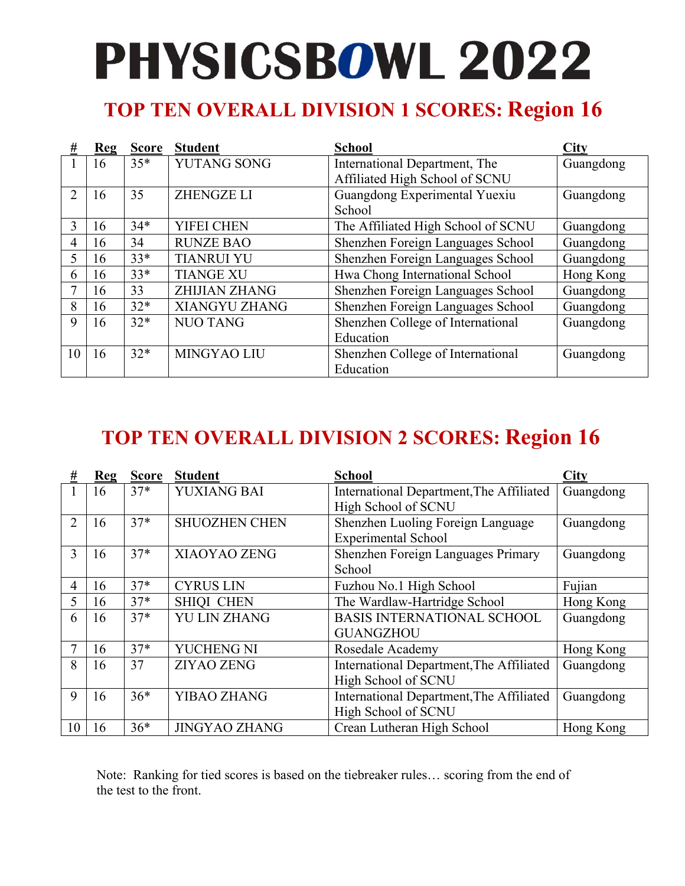## **TOP TEN OVERALL DIVISION 1 SCORES: Region 16**

| #             | Reg | <b>Score</b> | <b>Student</b>       | <b>School</b>                                                   | City      |
|---------------|-----|--------------|----------------------|-----------------------------------------------------------------|-----------|
|               | 16  | $35*$        | <b>YUTANG SONG</b>   | International Department, The<br>Affiliated High School of SCNU | Guangdong |
| $\mathcal{L}$ | 16  | 35           | <b>ZHENGZE LI</b>    | Guangdong Experimental Yuexiu<br>School                         | Guangdong |
| 3             | 16  | $34*$        | YIFEI CHEN           | The Affiliated High School of SCNU                              | Guangdong |
| 4             | 16  | 34           | <b>RUNZE BAO</b>     | Shenzhen Foreign Languages School                               | Guangdong |
| 5             | 16  | $33*$        | <b>TIANRUI YU</b>    | Shenzhen Foreign Languages School                               | Guangdong |
| 6             | 16  | $33*$        | <b>TIANGE XU</b>     | Hwa Chong International School                                  | Hong Kong |
|               | 16  | 33           | <b>ZHIJIAN ZHANG</b> | Shenzhen Foreign Languages School                               | Guangdong |
| 8             | 16  | $32*$        | <b>XIANGYU ZHANG</b> | Shenzhen Foreign Languages School                               | Guangdong |
| 9             | 16  | $32*$        | <b>NUO TANG</b>      | Shenzhen College of International                               | Guangdong |
|               |     |              |                      | Education                                                       |           |
| 10            | 16  | $32*$        | MINGYAO LIU          | Shenzhen College of International                               | Guangdong |
|               |     |              |                      | Education                                                       |           |

## **TOP TEN OVERALL DIVISION 2 SCORES: Region 16**

| #              | $Re$ g | <b>Score</b> | <b>Student</b>       | <b>School</b>                            | City      |
|----------------|--------|--------------|----------------------|------------------------------------------|-----------|
|                | 16     | $37*$        | YUXIANG BAI          | International Department, The Affiliated | Guangdong |
|                |        |              |                      | High School of SCNU                      |           |
| $\overline{2}$ | 16     | $37*$        | <b>SHUOZHEN CHEN</b> | Shenzhen Luoling Foreign Language        | Guangdong |
|                |        |              |                      | <b>Experimental School</b>               |           |
| 3              | 16     | $37*$        | XIAOYAO ZENG         | Shenzhen Foreign Languages Primary       | Guangdong |
|                |        |              |                      | School                                   |           |
| 4              | 16     | $37*$        | <b>CYRUS LIN</b>     | Fuzhou No.1 High School                  | Fujian    |
| 5              | 16     | $37*$        | <b>SHIQI CHEN</b>    | The Wardlaw-Hartridge School             | Hong Kong |
| 6              | 16     | $37*$        | <b>YU LIN ZHANG</b>  | <b>BASIS INTERNATIONAL SCHOOL</b>        | Guangdong |
|                |        |              |                      | <b>GUANGZHOU</b>                         |           |
|                | 16     | $37*$        | YUCHENG NI           | Rosedale Academy                         | Hong Kong |
| 8              | 16     | 37           | <b>ZIYAO ZENG</b>    | International Department, The Affiliated | Guangdong |
|                |        |              |                      | High School of SCNU                      |           |
| 9              | 16     | $36*$        | YIBAO ZHANG          | International Department, The Affiliated | Guangdong |
|                |        |              |                      | High School of SCNU                      |           |
| 10             | 16     | $36*$        | <b>JINGYAO ZHANG</b> | Crean Lutheran High School               | Hong Kong |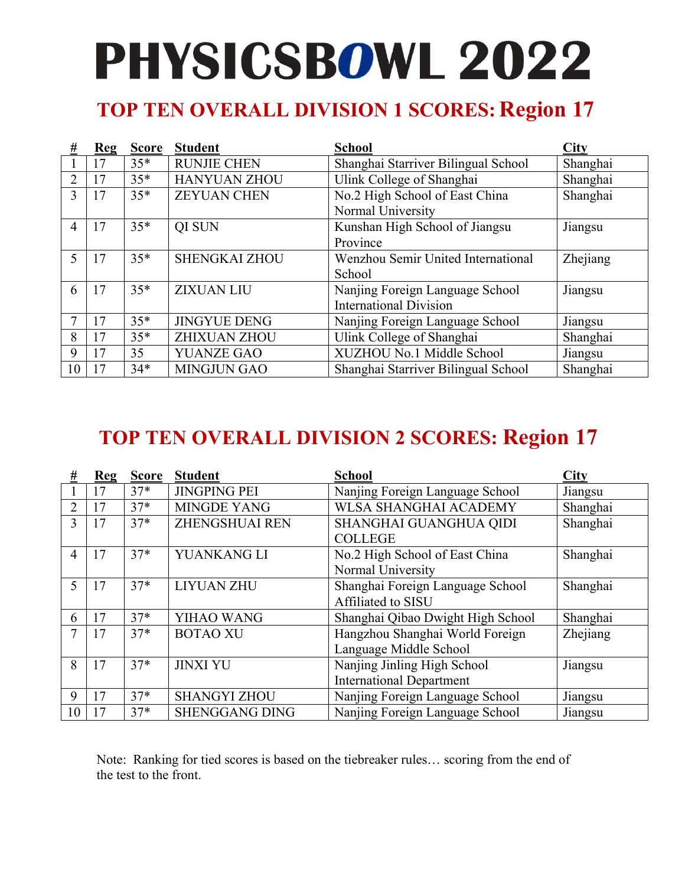## **TOP TEN OVERALL DIVISION 1 SCORES: Region 17**

| #  | Reg | <b>Score</b> | <b>Student</b>       | <b>School</b>                       | City     |
|----|-----|--------------|----------------------|-------------------------------------|----------|
|    | 17  | $35*$        | <b>RUNJIE CHEN</b>   | Shanghai Starriver Bilingual School | Shanghai |
| 2  | 17  | $35*$        | <b>HANYUAN ZHOU</b>  | Ulink College of Shanghai           | Shanghai |
| 3  | 17  | $35*$        | <b>ZEYUAN CHEN</b>   | No.2 High School of East China      | Shanghai |
|    |     |              |                      | Normal University                   |          |
| 4  | 17  | $35*$        | QI SUN               | Kunshan High School of Jiangsu      | Jiangsu  |
|    |     |              |                      | Province                            |          |
| 5  | 17  | $35*$        | <b>SHENGKAI ZHOU</b> | Wenzhou Semir United International  | Zhejiang |
|    |     |              |                      | School                              |          |
| 6  | 17  | $35*$        | <b>ZIXUAN LIU</b>    | Nanjing Foreign Language School     | Jiangsu  |
|    |     |              |                      | <b>International Division</b>       |          |
|    | 17  | $35*$        | <b>JINGYUE DENG</b>  | Nanjing Foreign Language School     | Jiangsu  |
| 8  | 17  | $35*$        | <b>ZHIXUAN ZHOU</b>  | Ulink College of Shanghai           | Shanghai |
| 9  | 17  | 35           | <b>YUANZE GAO</b>    | XUZHOU No.1 Middle School           | Jiangsu  |
| 10 | 7   | $34*$        | <b>MINGJUN GAO</b>   | Shanghai Starriver Bilingual School | Shanghai |

## **TOP TEN OVERALL DIVISION 2 SCORES: Region 17**

| #              | $Re$ g | <b>Score</b> | <b>Student</b>        | <b>School</b>                     | City     |
|----------------|--------|--------------|-----------------------|-----------------------------------|----------|
|                | 17     | $37*$        | <b>JINGPING PEI</b>   | Nanjing Foreign Language School   | Jiangsu  |
| $\overline{2}$ | 17     | $37*$        | <b>MINGDE YANG</b>    | <b>WLSA SHANGHAI ACADEMY</b>      | Shanghai |
| 3              | 17     | $37*$        | <b>ZHENGSHUAI REN</b> | SHANGHAI GUANGHUA QIDI            | Shanghai |
|                |        |              |                       | <b>COLLEGE</b>                    |          |
| 4              | 17     | $37*$        | YUANKANG LI           | No.2 High School of East China    | Shanghai |
|                |        |              |                       | Normal University                 |          |
| 5              | 17     | $37*$        | <b>LIYUAN ZHU</b>     | Shanghai Foreign Language School  | Shanghai |
|                |        |              |                       | Affiliated to SISU                |          |
| 6              | 17     | $37*$        | YIHAO WANG            | Shanghai Qibao Dwight High School | Shanghai |
|                | 17     | $37*$        | <b>BOTAO XU</b>       | Hangzhou Shanghai World Foreign   | Zhejiang |
|                |        |              |                       | Language Middle School            |          |
| 8              | 17     | $37*$        | <b>JINXI YU</b>       | Nanjing Jinling High School       | Jiangsu  |
|                |        |              |                       | <b>International Department</b>   |          |
| 9              | 17     | $37*$        | <b>SHANGYI ZHOU</b>   | Nanjing Foreign Language School   | Jiangsu  |
| 10             | 17     | $37*$        | <b>SHENGGANG DING</b> | Nanjing Foreign Language School   | Jiangsu  |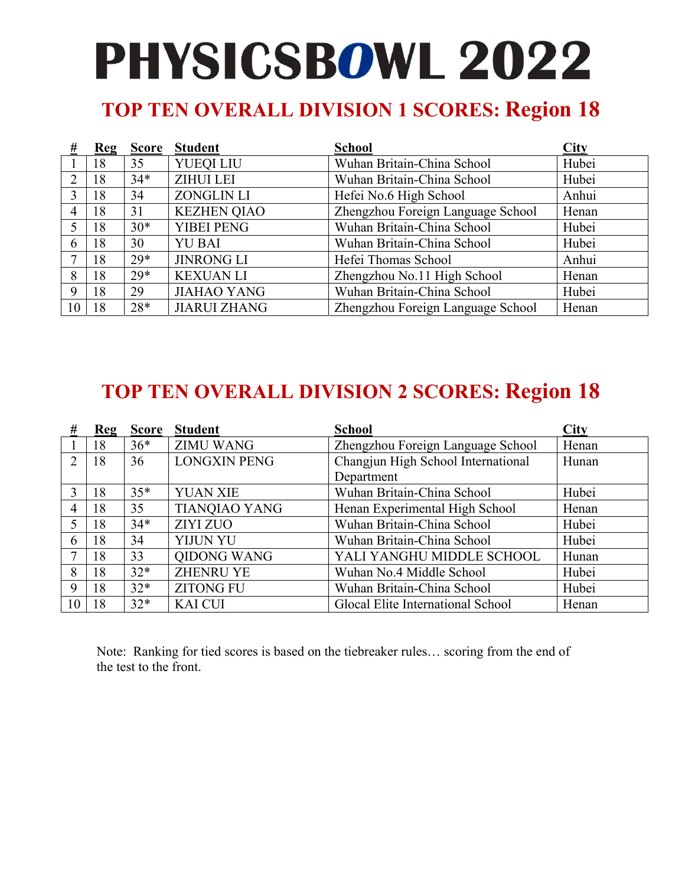## **TOP TEN OVERALL DIVISION 1 SCORES: Region 18**

| #              | <b>Reg</b> | <b>Score</b> | <b>Student</b>      | <b>School</b>                     | City  |
|----------------|------------|--------------|---------------------|-----------------------------------|-------|
|                | 18         | 35           | YUEQI LIU           | Wuhan Britain-China School        | Hubei |
| $\mathcal{L}$  | 18         | $34*$        | <b>ZIHUI LEI</b>    | Wuhan Britain-China School        | Hubei |
| 3              | 18         | 34           | <b>ZONGLIN LI</b>   | Hefei No.6 High School            | Anhui |
| $\overline{4}$ | 18         | 31           | <b>KEZHEN QIAO</b>  | Zhengzhou Foreign Language School | Henan |
|                | 18         | $30*$        | <b>YIBEI PENG</b>   | Wuhan Britain-China School        | Hubei |
| 6              | 18         | 30           | <b>YU BAI</b>       | Wuhan Britain-China School        | Hubei |
|                | 18         | $29*$        | <b>JINRONG LI</b>   | Hefei Thomas School               | Anhui |
| 8              | 18         | $29*$        | <b>KEXUAN LI</b>    | Zhengzhou No.11 High School       | Henan |
| 9              | 18         | 29           | <b>JIAHAO YANG</b>  | Wuhan Britain-China School        | Hubei |
| 10             | 18         | $28*$        | <b>JIARUI ZHANG</b> | Zhengzhou Foreign Language School | Henan |

### **TOP TEN OVERALL DIVISION 2 SCORES: Region 18**

| #              | Reg | <b>Score</b> | <b>Student</b>       | <b>School</b>                      | <b>City</b> |
|----------------|-----|--------------|----------------------|------------------------------------|-------------|
|                | 18  | $36*$        | <b>ZIMU WANG</b>     | Zhengzhou Foreign Language School  | Henan       |
| 2              | 18  | 36           | <b>LONGXIN PENG</b>  | Changjun High School International | Hunan       |
|                |     |              |                      | Department                         |             |
| 3              | 18  | $35*$        | <b>YUAN XIE</b>      | Wuhan Britain-China School         | Hubei       |
| $\overline{4}$ | 18  | 35           | <b>TIANQIAO YANG</b> | Henan Experimental High School     | Henan       |
| 5              | 18  | $34*$        | <b>ZIYI ZUO</b>      | Wuhan Britain-China School         | Hubei       |
| 6              | 18  | 34           | YIJUN YU             | Wuhan Britain-China School         | Hubei       |
|                | 18  | 33           | QIDONG WANG          | YALI YANGHU MIDDLE SCHOOL          | Hunan       |
| 8              | 18  | $32*$        | <b>ZHENRU YE</b>     | Wuhan No.4 Middle School           | Hubei       |
| 9              | 18  | $32*$        | <b>ZITONG FU</b>     | Wuhan Britain-China School         | Hubei       |
| 10             | 18  | $32*$        | <b>KAI CUI</b>       | Glocal Elite International School  | Henan       |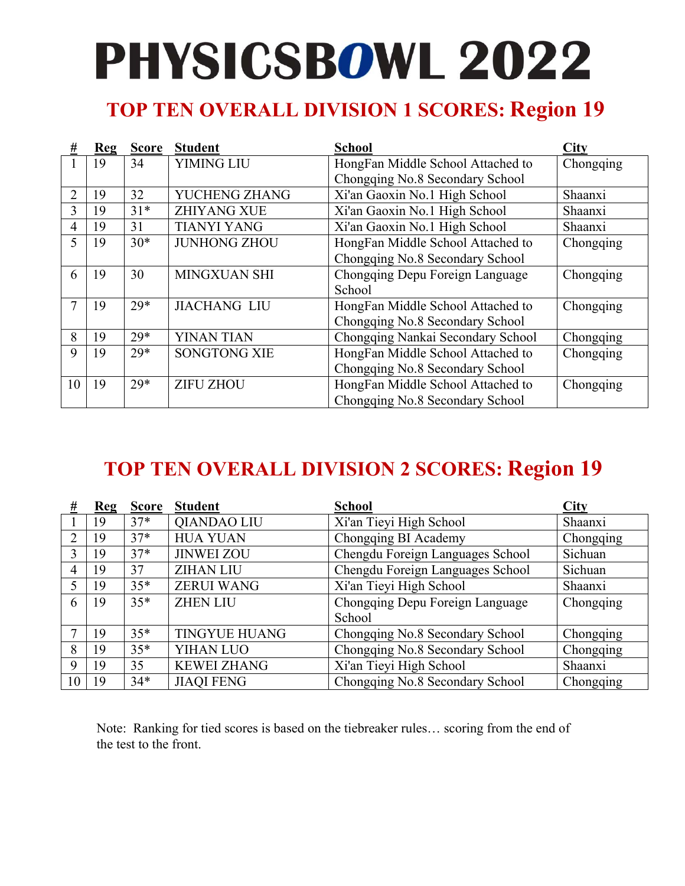## **TOP TEN OVERALL DIVISION 1 SCORES: Region 19**

| #              | Re | <b>Score</b> | <b>Student</b>      | <b>School</b>                     | City      |
|----------------|----|--------------|---------------------|-----------------------------------|-----------|
|                | 19 | 34           | <b>YIMING LIU</b>   | HongFan Middle School Attached to | Chongqing |
|                |    |              |                     | Chongqing No.8 Secondary School   |           |
| $\overline{2}$ | 19 | 32           | YUCHENG ZHANG       | Xi'an Gaoxin No.1 High School     | Shaanxi   |
| 3              | 19 | $31*$        | <b>ZHIYANG XUE</b>  | Xi'an Gaoxin No.1 High School     | Shaanxi   |
| 4              | 19 | 31           | <b>TIANYI YANG</b>  | Xi'an Gaoxin No.1 High School     | Shaanxi   |
| 5              | 19 | $30*$        | <b>JUNHONG ZHOU</b> | HongFan Middle School Attached to | Chongqing |
|                |    |              |                     | Chongqing No.8 Secondary School   |           |
| 6              | 19 | 30           | MINGXUAN SHI        | Chongqing Depu Foreign Language   | Chongqing |
|                |    |              |                     | School                            |           |
|                | 19 | $29*$        | <b>JIACHANG LIU</b> | HongFan Middle School Attached to | Chongqing |
|                |    |              |                     | Chongqing No.8 Secondary School   |           |
| 8              | 19 | $29*$        | <b>YINAN TIAN</b>   | Chongqing Nankai Secondary School | Chongqing |
| 9              | 19 | $29*$        | <b>SONGTONG XIE</b> | HongFan Middle School Attached to | Chongqing |
|                |    |              |                     | Chongqing No.8 Secondary School   |           |
| 10             | 19 | $29*$        | <b>ZIFU ZHOU</b>    | HongFan Middle School Attached to | Chongqing |
|                |    |              |                     | Chongqing No.8 Secondary School   |           |

## **TOP TEN OVERALL DIVISION 2 SCORES: Region 19**

| #  | Reg | <b>Score</b> | <b>Student</b>       | <b>School</b>                    | <b>City</b> |
|----|-----|--------------|----------------------|----------------------------------|-------------|
|    | 19  | $37*$        | QIANDAO LIU          | Xi'an Tieyi High School          | Shaanxi     |
| ↑  | 19  | $37*$        | <b>HUA YUAN</b>      | Chongqing BI Academy             | Chongqing   |
| 3  | 19  | $37*$        | <b>JINWEI ZOU</b>    | Chengdu Foreign Languages School | Sichuan     |
| 4  | 19  | 37           | <b>ZIHAN LIU</b>     | Chengdu Foreign Languages School | Sichuan     |
|    | 19  | $35*$        | <b>ZERUI WANG</b>    | Xi'an Tieyi High School          | Shaanxi     |
| 6  | 19  | $35*$        | <b>ZHEN LIU</b>      | Chongqing Depu Foreign Language  | Chongqing   |
|    |     |              |                      | School                           |             |
|    | 19  | $35*$        | <b>TINGYUE HUANG</b> | Chongqing No.8 Secondary School  | Chongqing   |
| 8  | 19  | $35*$        | <b>YIHAN LUO</b>     | Chongqing No.8 Secondary School  | Chongqing   |
| 9  | 19  | 35           | <b>KEWEI ZHANG</b>   | Xi'an Tieyi High School          | Shaanxi     |
| 10 | 19  | $34*$        | <b>JIAQI FENG</b>    | Chongqing No.8 Secondary School  | Chongqing   |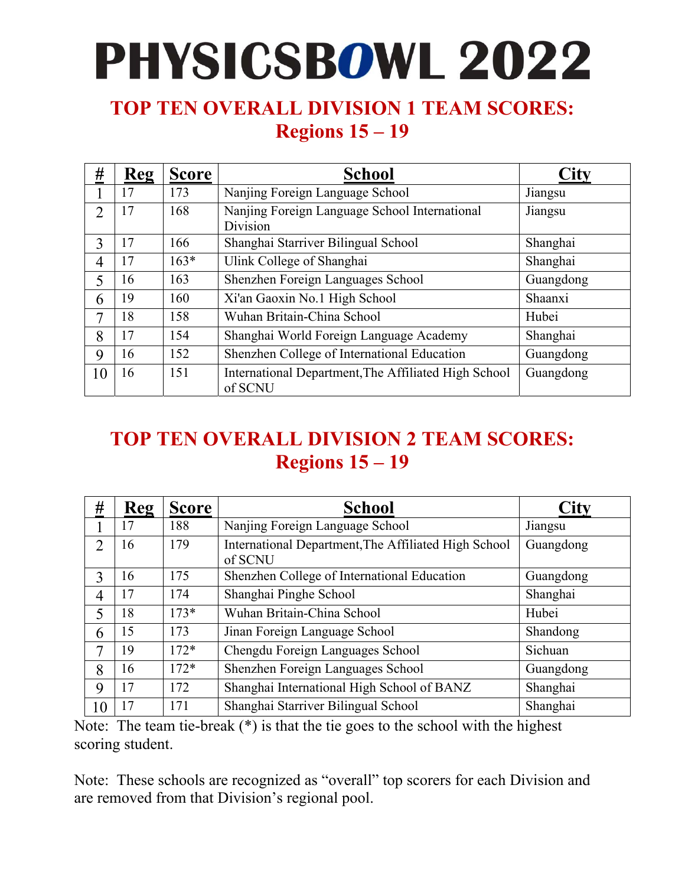#### **TOP TEN OVERALL DIVISION 1 TEAM SCORES: Regions 15 – 19**

| #              | <b>Reg</b> | <b>Score</b> | <b>School</b>                                                   | $\mathbf{City}$ |
|----------------|------------|--------------|-----------------------------------------------------------------|-----------------|
|                | 17         | 173          | Nanjing Foreign Language School                                 | Jiangsu         |
| $\overline{2}$ | 17         | 168          | Nanjing Foreign Language School International<br>Division       | Jiangsu         |
| 3              | 17         | 166          | Shanghai Starriver Bilingual School                             | Shanghai        |
| 4              | 17         | $163*$       | Ulink College of Shanghai                                       | Shanghai        |
| 5              | 16         | 163          | Shenzhen Foreign Languages School                               | Guangdong       |
| 6              | 19         | 160          | Xi'an Gaoxin No.1 High School                                   | Shaanxi         |
| 7              | 18         | 158          | Wuhan Britain-China School                                      | Hubei           |
| 8              | 17         | 154          | Shanghai World Foreign Language Academy                         | Shanghai        |
| 9              | 16         | 152          | Shenzhen College of International Education                     | Guangdong       |
| 10             | 16         | 151          | International Department, The Affiliated High School<br>of SCNU | Guangdong       |

### **TOP TEN OVERALL DIVISION 2 TEAM SCORES: Regions 15 – 19**

| #              | Reg | <b>Score</b> | <b>School</b>                                                   | City      |
|----------------|-----|--------------|-----------------------------------------------------------------|-----------|
|                | 17  | 188          | Nanjing Foreign Language School                                 | Jiangsu   |
| $\mathfrak{D}$ | 16  | 179          | International Department, The Affiliated High School<br>of SCNU | Guangdong |
| 3              | 16  | 175          | Shenzhen College of International Education                     | Guangdong |
| 4              | 17  | 174          | Shanghai Pinghe School                                          | Shanghai  |
| 5              | 18  | $173*$       | Wuhan Britain-China School                                      | Hubei     |
| 6              | 15  | 173          | Jinan Foreign Language School                                   | Shandong  |
| 7              | 19  | $172*$       | Chengdu Foreign Languages School                                | Sichuan   |
| 8              | 16  | $172*$       | Shenzhen Foreign Languages School                               | Guangdong |
| 9              | 17  | 172          | Shanghai International High School of BANZ                      | Shanghai  |
| 10             | 17  | 171          | Shanghai Starriver Bilingual School                             | Shanghai  |

Note: The team tie-break (\*) is that the tie goes to the school with the highest scoring student.

Note: These schools are recognized as "overall" top scorers for each Division and are removed from that Division's regional pool.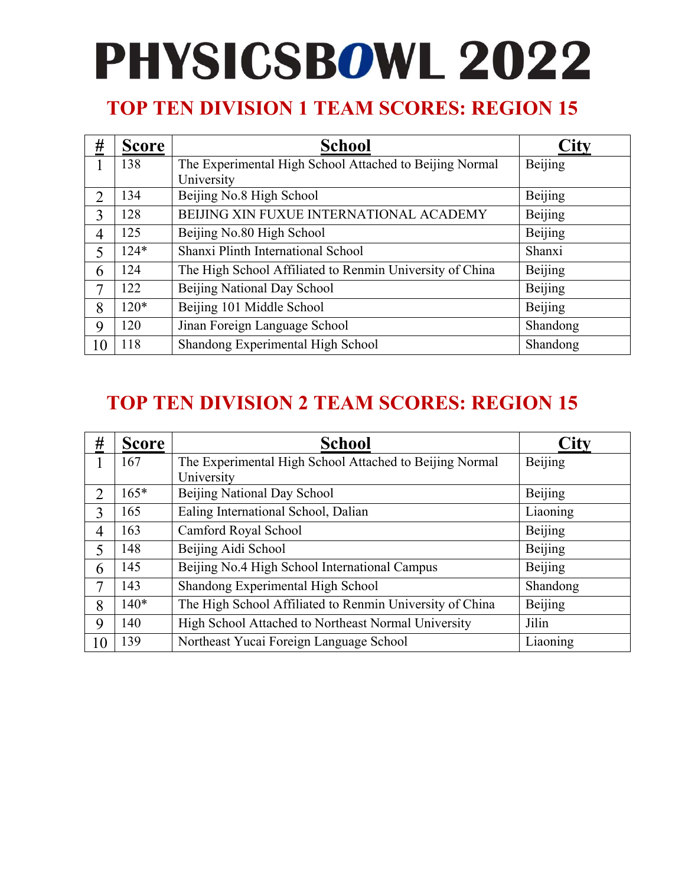### **TOP TEN DIVISION 1 TEAM SCORES: REGION 15**

| #  | <b>Score</b> | <b>School</b>                                            |                |
|----|--------------|----------------------------------------------------------|----------------|
|    | 138          | The Experimental High School Attached to Beijing Normal  | Beijing        |
|    |              | University                                               |                |
| 2  | 134          | Beijing No.8 High School                                 | Beijing        |
| 3  | 128          | BEIJING XIN FUXUE INTERNATIONAL ACADEMY                  | <b>Beijing</b> |
| 4  | 125          | Beijing No.80 High School                                | Beijing        |
| 5  | $124*$       | Shanxi Plinth International School                       | Shanxi         |
| 6  | 124          | The High School Affiliated to Renmin University of China | Beijing        |
| 7  | 122          | Beijing National Day School                              | Beijing        |
| 8  | $120*$       | Beijing 101 Middle School                                | Beijing        |
| 9  | 120          | Jinan Foreign Language School                            | Shandong       |
| 10 | 118          | Shandong Experimental High School                        | Shandong       |

| #  | <b>Score</b> | <b>School</b>                                            | City     |
|----|--------------|----------------------------------------------------------|----------|
|    | 167          | The Experimental High School Attached to Beijing Normal  | Beijing  |
|    |              | University                                               |          |
| 2  | $165*$       | Beijing National Day School                              | Beijing  |
| 3  | 165          | Ealing International School, Dalian                      | Liaoning |
| 4  | 163          | Camford Royal School                                     | Beijing  |
| 5  | 148          | Beijing Aidi School                                      | Beijing  |
| 6  | 145          | Beijing No.4 High School International Campus            | Beijing  |
| 7  | 143          | Shandong Experimental High School                        | Shandong |
| 8  | $140*$       | The High School Affiliated to Renmin University of China | Beijing  |
| 9  | 140          | High School Attached to Northeast Normal University      | Jilin    |
| 10 | 139          | Northeast Yucai Foreign Language School                  | Liaoning |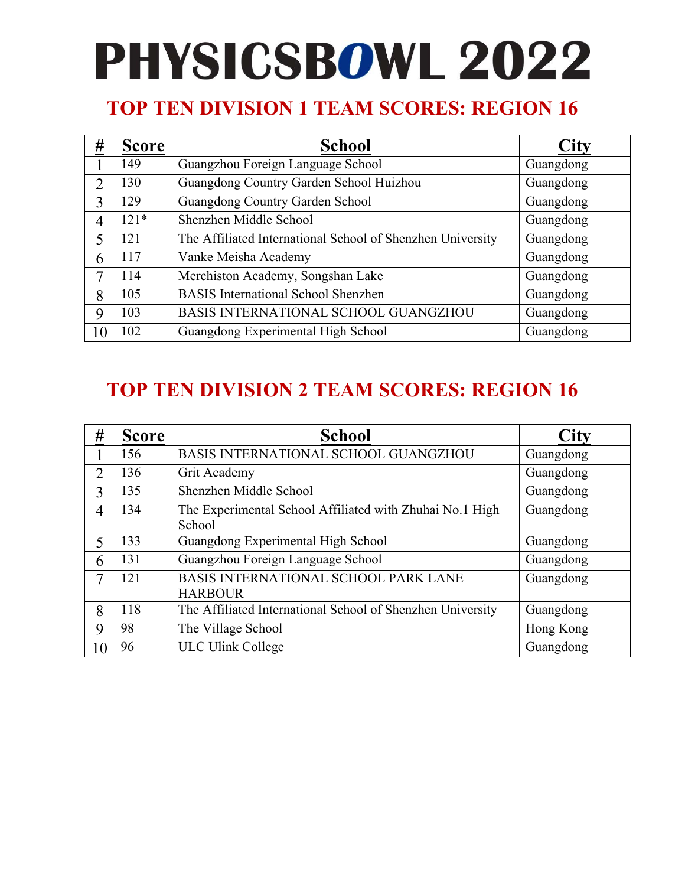### **TOP TEN DIVISION 1 TEAM SCORES: REGION 16**

| #             | <b>Score</b> | <b>School</b>                                              | <b>City</b> |
|---------------|--------------|------------------------------------------------------------|-------------|
|               | 149          | Guangzhou Foreign Language School                          | Guangdong   |
| $\mathcal{D}$ | 130          | Guangdong Country Garden School Huizhou                    | Guangdong   |
| $\mathbf{3}$  | 129          | Guangdong Country Garden School                            | Guangdong   |
| 4             | $121*$       | Shenzhen Middle School                                     | Guangdong   |
| 5             | 121          | The Affiliated International School of Shenzhen University | Guangdong   |
| 6             | 117          | Vanke Meisha Academy                                       | Guangdong   |
| 7             | 114          | Merchiston Academy, Songshan Lake                          | Guangdong   |
| 8             | 105          | <b>BASIS</b> International School Shenzhen                 | Guangdong   |
| 9             | 103          | BASIS INTERNATIONAL SCHOOL GUANGZHOU                       | Guangdong   |
| 10            | 102          | Guangdong Experimental High School                         | Guangdong   |

| #  | <b>Score</b> | <b>School</b>                                                      | <b>City</b> |
|----|--------------|--------------------------------------------------------------------|-------------|
|    | 156          | BASIS INTERNATIONAL SCHOOL GUANGZHOU                               | Guangdong   |
| 2  | 136          | Grit Academy                                                       | Guangdong   |
| 3  | 135          | Shenzhen Middle School                                             | Guangdong   |
| 4  | 134          | The Experimental School Affiliated with Zhuhai No.1 High<br>School | Guangdong   |
| 5  | 133          | Guangdong Experimental High School                                 | Guangdong   |
| 6  | 131          | Guangzhou Foreign Language School                                  | Guangdong   |
| 7  | 121          | <b>BASIS INTERNATIONAL SCHOOL PARK LANE</b><br><b>HARBOUR</b>      | Guangdong   |
| 8  | 118          | The Affiliated International School of Shenzhen University         | Guangdong   |
| 9  | 98           | The Village School                                                 | Hong Kong   |
| 10 | 96           | <b>ULC Ulink College</b>                                           | Guangdong   |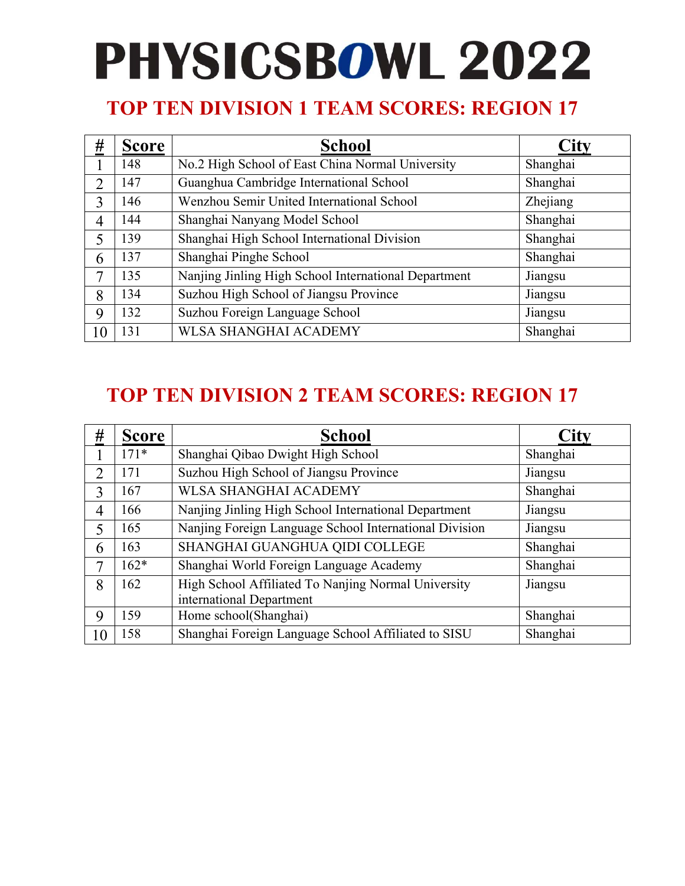### **TOP TEN DIVISION 1 TEAM SCORES: REGION 17**

| #                        | <b>Score</b> | <b>School</b>                                        | City     |
|--------------------------|--------------|------------------------------------------------------|----------|
|                          | 148          | No.2 High School of East China Normal University     | Shanghai |
| $\overline{2}$           | 147          | Guanghua Cambridge International School              | Shanghai |
| $\mathcal{E}$            | 146          | Wenzhou Semir United International School            | Zhejiang |
| 4                        | 144          | Shanghai Nanyang Model School                        | Shanghai |
| $\overline{\mathcal{L}}$ | 139          | Shanghai High School International Division          | Shanghai |
| 6                        | 137          | Shanghai Pinghe School                               | Shanghai |
| 7                        | 135          | Nanjing Jinling High School International Department | Jiangsu  |
| 8                        | 134          | Suzhou High School of Jiangsu Province               | Jiangsu  |
| 9                        | 132          | Suzhou Foreign Language School                       | Jiangsu  |
| 10                       | 131          | <b>WLSA SHANGHAI ACADEMY</b>                         | Shanghai |

| #              | <b>Score</b> | School                                                                          | City     |
|----------------|--------------|---------------------------------------------------------------------------------|----------|
|                | $171*$       | Shanghai Qibao Dwight High School                                               | Shanghai |
| $\overline{2}$ | 171          | Suzhou High School of Jiangsu Province                                          | Jiangsu  |
| 3              | 167          | <b>WLSA SHANGHAI ACADEMY</b>                                                    | Shanghai |
| 4              | 166          | Nanjing Jinling High School International Department                            | Jiangsu  |
| 5              | 165          | Nanjing Foreign Language School International Division                          | Jiangsu  |
| 6              | 163          | SHANGHAI GUANGHUA QIDI COLLEGE                                                  | Shanghai |
| 7              | $162*$       | Shanghai World Foreign Language Academy                                         | Shanghai |
| 8              | 162          | High School Affiliated To Nanjing Normal University<br>international Department | Jiangsu  |
| 9              | 159          | Home school(Shanghai)                                                           | Shanghai |
| 10             | 158          | Shanghai Foreign Language School Affiliated to SISU                             | Shanghai |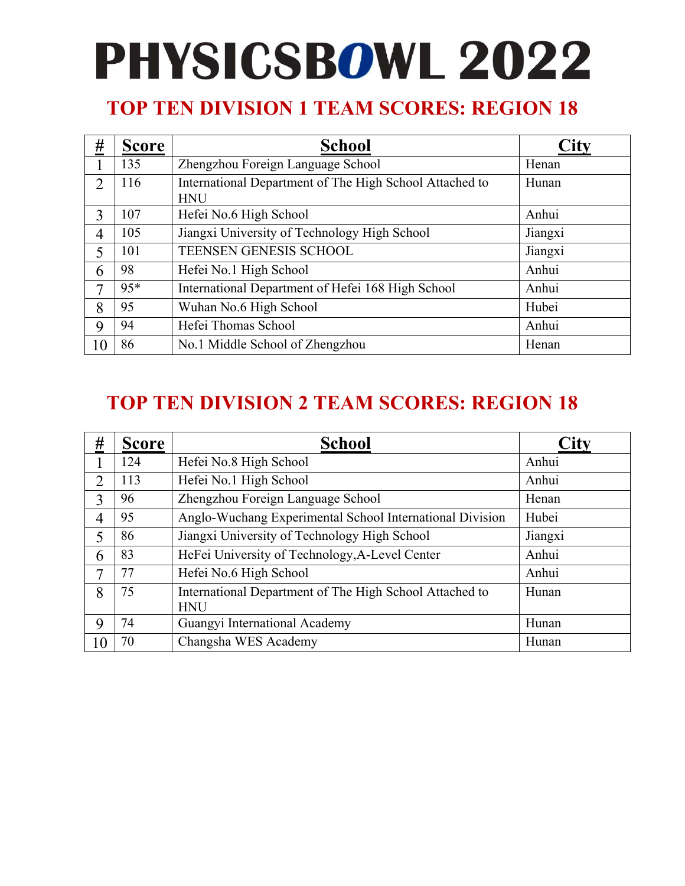### **TOP TEN DIVISION 1 TEAM SCORES: REGION 18**

| <u>#</u>      | <b>Score</b> | <b>School</b>                                                         |         |
|---------------|--------------|-----------------------------------------------------------------------|---------|
|               | 135          | Zhengzhou Foreign Language School                                     | Henan   |
| $\mathcal{D}$ | 116          | International Department of The High School Attached to<br><b>HNU</b> | Hunan   |
| 3             | 107          | Hefei No.6 High School                                                | Anhui   |
| 4             | 105          | Jiangxi University of Technology High School                          | Jiangxi |
| 5             | 101          | <b>TEENSEN GENESIS SCHOOL</b>                                         | Jiangxi |
| 6             | 98           | Hefei No.1 High School                                                | Anhui   |
| 7             | 95*          | International Department of Hefei 168 High School                     | Anhui   |
| 8             | 95           | Wuhan No.6 High School                                                | Hubei   |
| 9             | 94           | Hefei Thomas School                                                   | Anhui   |
| 10            | 86           | No.1 Middle School of Zhengzhou                                       | Henan   |

| #  | <b>Score</b> | <b>School</b>                                            | City    |
|----|--------------|----------------------------------------------------------|---------|
|    | 124          | Hefei No.8 High School                                   | Anhui   |
| 2  | 113          | Hefei No.1 High School                                   | Anhui   |
| 3  | 96           | Zhengzhou Foreign Language School                        | Henan   |
| 4  | 95           | Anglo-Wuchang Experimental School International Division | Hubei   |
| 5  | 86           | Jiangxi University of Technology High School             | Jiangxi |
| 6  | 83           | HeFei University of Technology, A-Level Center           | Anhui   |
| 7  | 77           | Hefei No.6 High School                                   | Anhui   |
| 8  | 75           | International Department of The High School Attached to  | Hunan   |
|    |              | <b>HNU</b>                                               |         |
| 9  | 74           | Guangyi International Academy                            | Hunan   |
| 10 | 70           | Changsha WES Academy                                     | Hunan   |